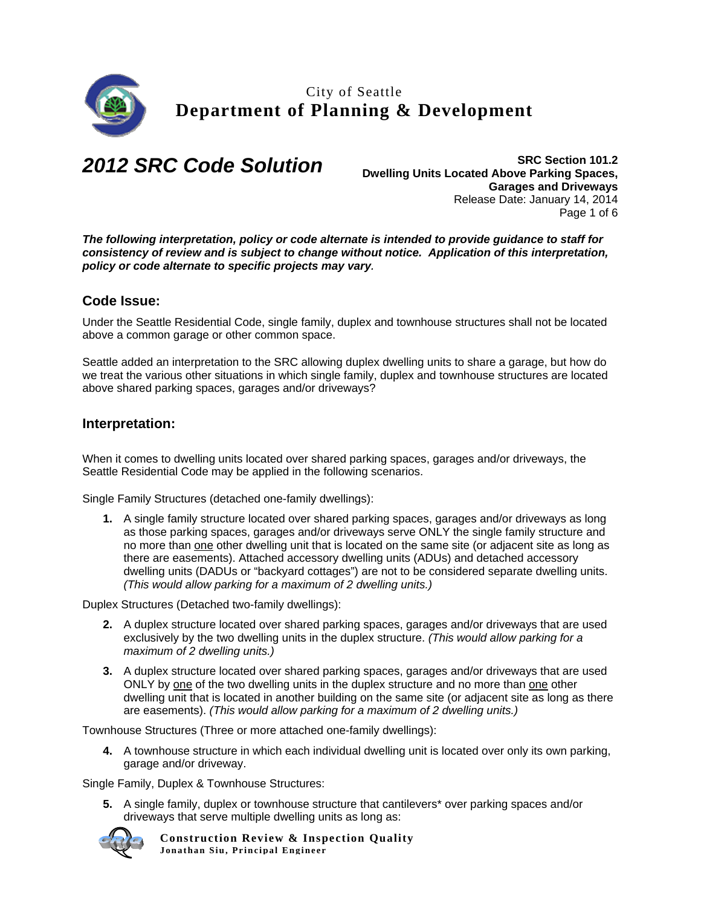

*2012 SRC Code Solution* **SRC Section 101.2 Dwelling Units Located Above Parking Spaces, Garages and Driveways**  Release Date: January 14, 2014 Page 1 of 6

*The following interpretation, policy or code alternate is intended to provide guidance to staff for consistency of review and is subject to change without notice. Application of this interpretation, policy or code alternate to specific projects may vary.* 

## **Code Issue:**

Under the Seattle Residential Code, single family, duplex and townhouse structures shall not be located above a common garage or other common space.

Seattle added an interpretation to the SRC allowing duplex dwelling units to share a garage, but how do we treat the various other situations in which single family, duplex and townhouse structures are located above shared parking spaces, garages and/or driveways?

## **Interpretation:**

When it comes to dwelling units located over shared parking spaces, garages and/or driveways, the Seattle Residential Code may be applied in the following scenarios.

Single Family Structures (detached one-family dwellings):

**1.** A single family structure located over shared parking spaces, garages and/or driveways as long as those parking spaces, garages and/or driveways serve ONLY the single family structure and no more than one other dwelling unit that is located on the same site (or adjacent site as long as there are easements). Attached accessory dwelling units (ADUs) and detached accessory dwelling units (DADUs or "backyard cottages") are not to be considered separate dwelling units. *(This would allow parking for a maximum of 2 dwelling units.)* 

Duplex Structures (Detached two-family dwellings):

- **2.** A duplex structure located over shared parking spaces, garages and/or driveways that are used exclusively by the two dwelling units in the duplex structure. *(This would allow parking for a maximum of 2 dwelling units.)*
- **3.** A duplex structure located over shared parking spaces, garages and/or driveways that are used ONLY by one of the two dwelling units in the duplex structure and no more than one other dwelling unit that is located in another building on the same site (or adjacent site as long as there are easements). *(This would allow parking for a maximum of 2 dwelling units.)*

Townhouse Structures (Three or more attached one-family dwellings):

**4.** A townhouse structure in which each individual dwelling unit is located over only its own parking, garage and/or driveway.

Single Family, Duplex & Townhouse Structures:

**5.** A single family, duplex or townhouse structure that cantilevers\* over parking spaces and/or driveways that serve multiple dwelling units as long as:

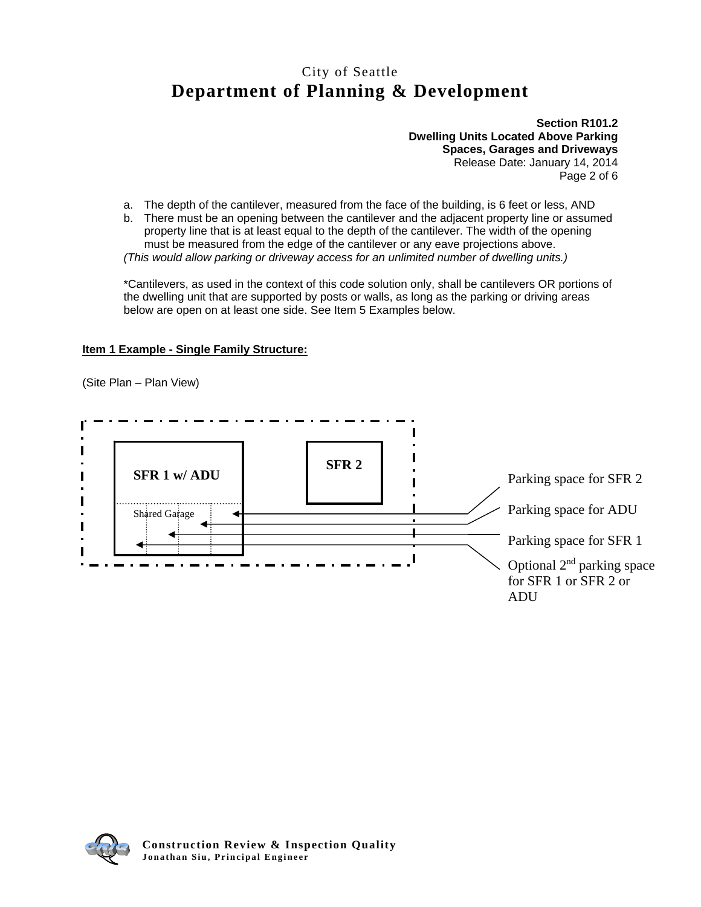**Section R101.2 Dwelling Units Located Above Parking Spaces, Garages and Driveways**  Release Date: January 14, 2014 Page 2 of 6

- a. The depth of the cantilever, measured from the face of the building, is 6 feet or less, AND
- b. There must be an opening between the cantilever and the adjacent property line or assumed property line that is at least equal to the depth of the cantilever. The width of the opening must be measured from the edge of the cantilever or any eave projections above. *(This would allow parking or driveway access for an unlimited number of dwelling units.)*

\*Cantilevers, as used in the context of this code solution only, shall be cantilevers OR portions of the dwelling unit that are supported by posts or walls, as long as the parking or driving areas below are open on at least one side. See Item 5 Examples below.

#### **Item 1 Example - Single Family Structure:**

(Site Plan – Plan View)



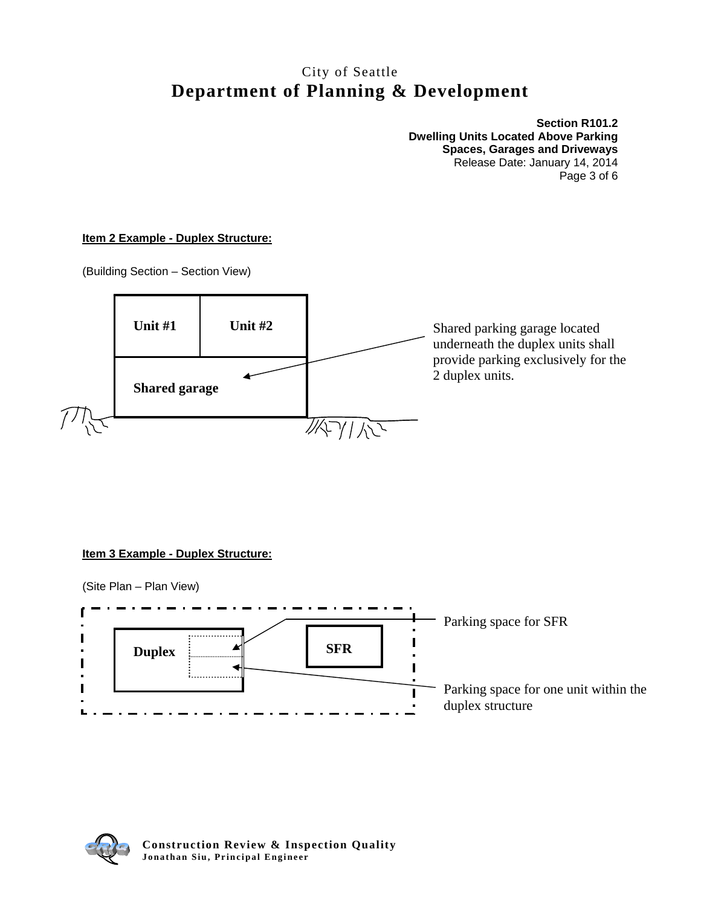**Section R101.2 Dwelling Units Located Above Parking Spaces, Garages and Driveways**  Release Date: January 14, 2014 Page 3 of 6

#### **Item 2 Example - Duplex Structure:**

(Building Section – Section View)



## **Item 3 Example - Duplex Structure:**



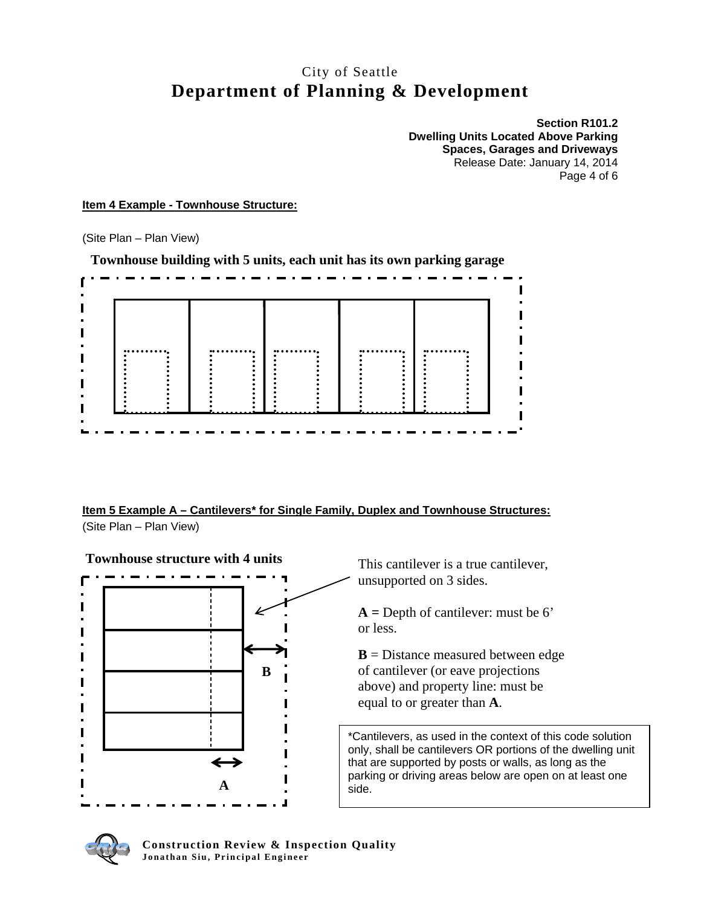**Section R101.2 Dwelling Units Located Above Parking Spaces, Garages and Driveways**  Release Date: January 14, 2014 Page 4 of 6

**Item 4 Example - Townhouse Structure:** 

(Site Plan – Plan View)



**Townhouse building with 5 units, each unit has its own parking garage** 

**Item 5 Example A – Cantilevers\* for Single Family, Duplex and Townhouse Structures:**  (Site Plan – Plan View)



This cantilever is a true cantilever, unsupported on 3 sides.

**A =** Depth of cantilever: must be 6' or less.

**B** = Distance measured between edge of cantilever (or eave projections above) and property line: must be equal to or greater than **A**.

\*Cantilevers, as used in the context of this code solution only, shall be cantilevers OR portions of the dwelling unit that are supported by posts or walls, as long as the parking or driving areas below are open on at least one side.

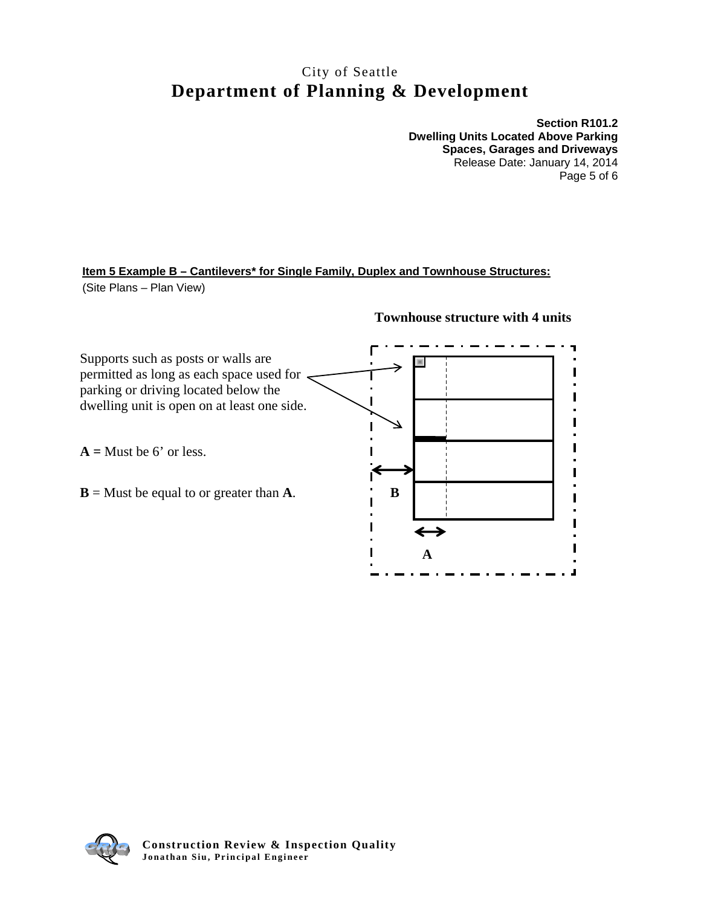**Section R101.2 Dwelling Units Located Above Parking Spaces, Garages and Driveways**  Release Date: January 14, 2014 Page 5 of 6

## **Item 5 Example B – Cantilevers\* for Single Family, Duplex and Townhouse Structures:**  (Site Plans – Plan View)



#### **Townhouse structure with 4 units**